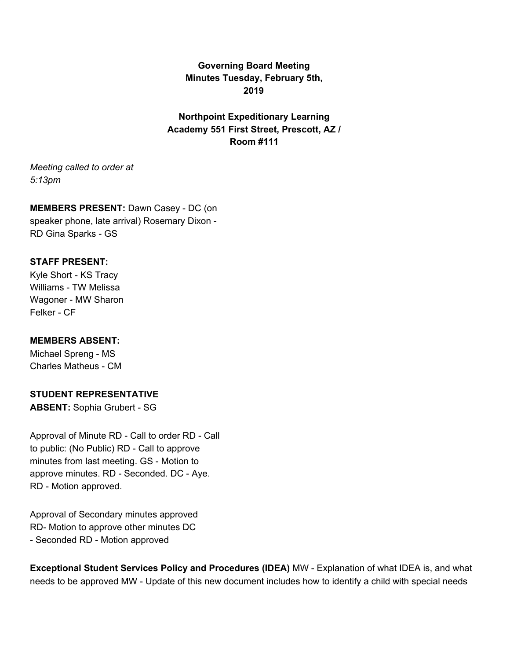**Governing Board Meeting Minutes Tuesday, February 5th, 2019**

**Northpoint Expeditionary Learning Academy 551 First Street, Prescott, AZ / Room #111**

*Meeting called to order at 5:13pm*

**MEMBERS PRESENT:** Dawn Casey - DC (on speaker phone, late arrival) Rosemary Dixon - RD Gina Sparks - GS

#### **STAFF PRESENT:**

Kyle Short - KS Tracy Williams - TW Melissa Wagoner - MW Sharon Felker - CF

## **MEMBERS ABSENT:**

Michael Spreng - MS Charles Matheus - CM

### **STUDENT REPRESENTATIVE**

**ABSENT:** Sophia Grubert - SG

Approval of Minute RD - Call to order RD - Call to public: (No Public) RD - Call to approve minutes from last meeting. GS - Motion to approve minutes. RD - Seconded. DC - Aye. RD - Motion approved.

Approval of Secondary minutes approved RD- Motion to approve other minutes DC - Seconded RD - Motion approved

**Exceptional Student Services Policy and Procedures (IDEA)** MW - Explanation of what IDEA is, and what needs to be approved MW - Update of this new document includes how to identify a child with special needs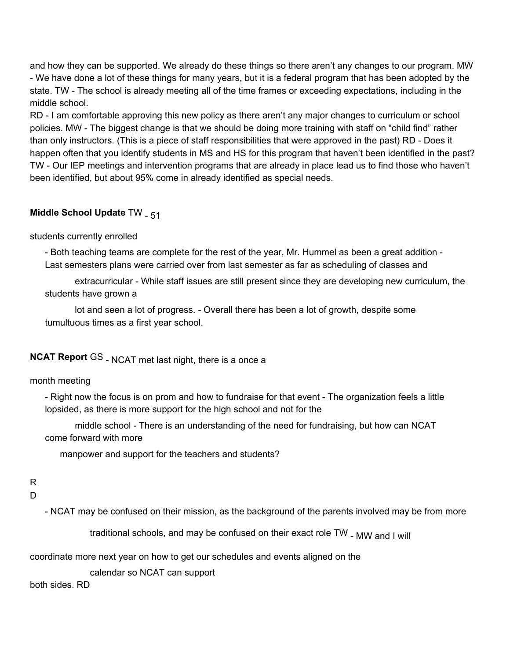and how they can be supported. We already do these things so there aren't any changes to our program. MW - We have done a lot of these things for many years, but it is a federal program that has been adopted by the state. TW - The school is already meeting all of the time frames or exceeding expectations, including in the middle school.

RD - I am comfortable approving this new policy as there aren't any major changes to curriculum or school policies. MW - The biggest change is that we should be doing more training with staff on "child find" rather than only instructors. (This is a piece of staff responsibilities that were approved in the past) RD - Does it happen often that you identify students in MS and HS for this program that haven't been identified in the past? TW - Our IEP meetings and intervention programs that are already in place lead us to find those who haven't been identified, but about 95% come in already identified as special needs.

# **Middle School Update TW - 51**

## students currently enrolled

- Both teaching teams are complete for the rest of the year, Mr. Hummel as been a great addition - Last semesters plans were carried over from last semester as far as scheduling of classes and

extracurricular - While staff issues are still present since they are developing new curriculum, the students have grown a

lot and seen a lot of progress. - Overall there has been a lot of growth, despite some tumultuous times as a first year school.

# **NCAT Report** GS - NCAT met last night, there is a once a

# month meeting

- Right now the focus is on prom and how to fundraise for that event - The organization feels a little lopsided, as there is more support for the high school and not for the

middle school - There is an understanding of the need for fundraising, but how can NCAT come forward with more

manpower and support for the teachers and students?

# R

### D

- NCAT may be confused on their mission, as the background of the parents involved may be from more

traditional schools, and may be confused on their exact role TW <sub>- MW and I will</sub>

coordinate more next year on how to get our schedules and events aligned on the

calendar so NCAT can support

both sides. RD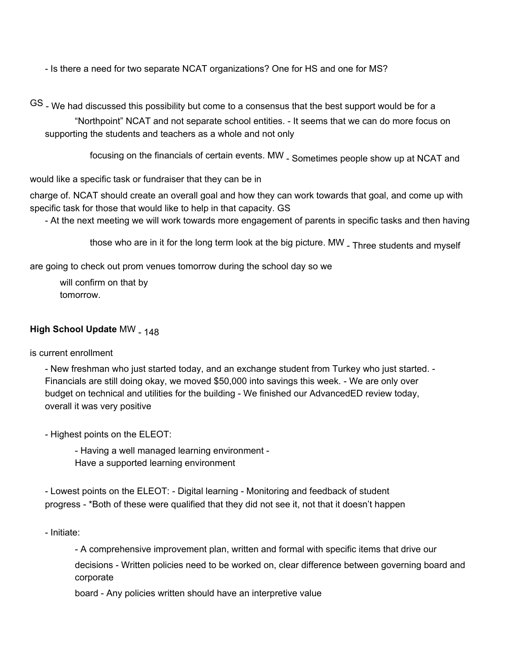- Is there a need for two separate NCAT organizations? One for HS and one for MS?

GS - We had discussed this possibility but come to a consensus that the best support would be for a

"Northpoint" NCAT and not separate school entities. - It seems that we can do more focus on supporting the students and teachers as a whole and not only

focusing on the financials of certain events. MW - Sometimes people show up at NCAT and

would like a specific task or fundraiser that they can be in

charge of. NCAT should create an overall goal and how they can work towards that goal, and come up with specific task for those that would like to help in that capacity. GS

- At the next meeting we will work towards more engagement of parents in specific tasks and then having

those who are in it for the long term look at the big picture. MW - Three students and myself

are going to check out prom venues tomorrow during the school day so we

will confirm on that by tomorrow.

# **High School Update MW - 148**

is current enrollment

- New freshman who just started today, and an exchange student from Turkey who just started. - Financials are still doing okay, we moved \$50,000 into savings this week. - We are only over budget on technical and utilities for the building - We finished our AdvancedED review today, overall it was very positive

- Highest points on the ELEOT:

- Having a well managed learning environment - Have a supported learning environment

- Lowest points on the ELEOT: - Digital learning - Monitoring and feedback of student progress - \*Both of these were qualified that they did not see it, not that it doesn't happen

- Initiate:

- A comprehensive improvement plan, written and formal with specific items that drive our decisions - Written policies need to be worked on, clear difference between governing board and corporate

board - Any policies written should have an interpretive value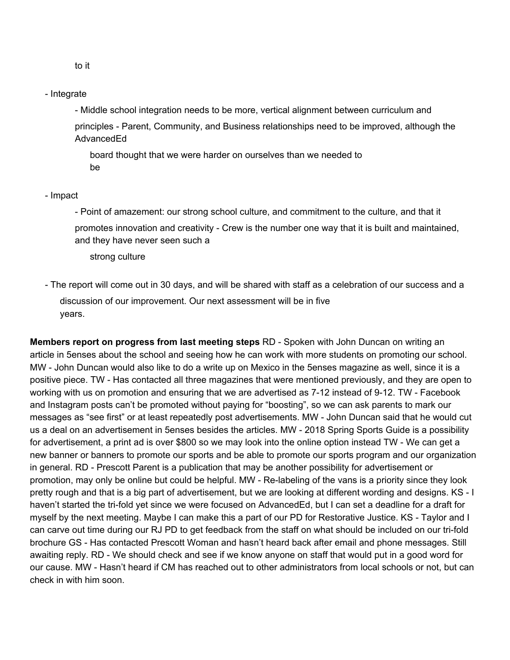- Integrate

- Middle school integration needs to be more, vertical alignment between curriculum and principles - Parent, Community, and Business relationships need to be improved, although the **AdvancedEd** 

board thought that we were harder on ourselves than we needed to be

#### - Impact

- Point of amazement: our strong school culture, and commitment to the culture, and that it promotes innovation and creativity - Crew is the number one way that it is built and maintained, and they have never seen such a

strong culture

- The report will come out in 30 days, and will be shared with staff as a celebration of our success and a discussion of our improvement. Our next assessment will be in five years.

**Members report on progress from last meeting steps** RD - Spoken with John Duncan on writing an article in 5enses about the school and seeing how he can work with more students on promoting our school. MW - John Duncan would also like to do a write up on Mexico in the 5enses magazine as well, since it is a positive piece. TW - Has contacted all three magazines that were mentioned previously, and they are open to working with us on promotion and ensuring that we are advertised as 7-12 instead of 9-12. TW - Facebook and Instagram posts can't be promoted without paying for "boosting", so we can ask parents to mark our messages as "see first" or at least repeatedly post advertisements. MW - John Duncan said that he would cut us a deal on an advertisement in 5enses besides the articles. MW - 2018 Spring Sports Guide is a possibility for advertisement, a print ad is over \$800 so we may look into the online option instead TW - We can get a new banner or banners to promote our sports and be able to promote our sports program and our organization in general. RD - Prescott Parent is a publication that may be another possibility for advertisement or promotion, may only be online but could be helpful. MW - Re-labeling of the vans is a priority since they look pretty rough and that is a big part of advertisement, but we are looking at different wording and designs. KS - I haven't started the tri-fold yet since we were focused on AdvancedEd, but I can set a deadline for a draft for myself by the next meeting. Maybe I can make this a part of our PD for Restorative Justice. KS - Taylor and I can carve out time during our RJ PD to get feedback from the staff on what should be included on our tri-fold brochure GS - Has contacted Prescott Woman and hasn't heard back after email and phone messages. Still awaiting reply. RD - We should check and see if we know anyone on staff that would put in a good word for our cause. MW - Hasn't heard if CM has reached out to other administrators from local schools or not, but can check in with him soon.

to it